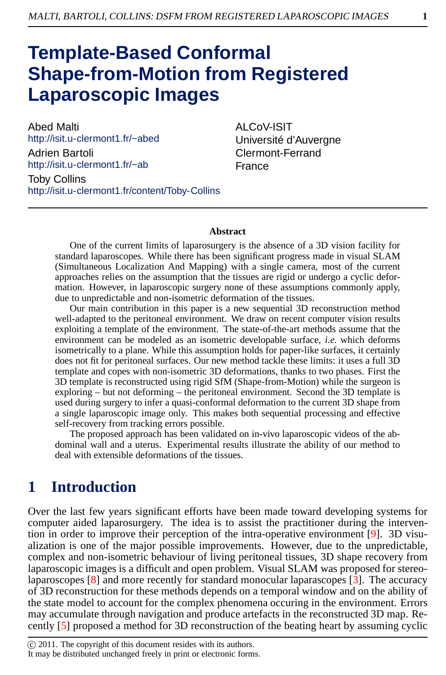# **Template-Based Conformal Shape-from-Motion from Registered Laparoscopic Images**

Abed Malti http://isit.u-clermont1.fr/~abed Adrien Bartoli http://isit.u-clermont1.fr/~ab Toby Collins http://isit.u-clermont1.fr/content/Toby-Collins ALCoV-ISIT Université d'Auvergne Clermont-Ferrand France

#### **Abstract**

One of the current limits of laparosurgery is the absence of a 3D vision facility for standard laparoscopes. While there has been significant progress made in visual SLAM (Simultaneous Localization And Mapping) with a single camera, most of the current approaches relies on the assumption that the tissues are rigid or undergo a cyclic deformation. However, in laparoscopic surgery none of these assumptions commonly apply, due to unpredictable and non-isometric deformation of the tissues.

Our main contribution in this paper is a new sequential 3D reconstruction method well-adapted to the peritoneal environment. We draw on recent computer vision results exploiting a template of the environment. The state-of-the-art methods assume that the environment can be modeled as an isometric developable surface, *i.e.* which deforms isometrically to a plane. While this assumption holds for paper-like surfaces, it certainly does not fit for peritoneal surfaces. Our new method tackle these limits: it uses a full 3D template and copes with non-isometric 3D deformations, thanks to two phases. First the 3D template is reconstructed using rigid SfM (Shape-from-Motion) while the surgeon is exploring – but not deforming – the peritoneal environment. Second the 3D template is used during surgery to infer a quasi-conformal deformation to the current 3D shape from a single laparoscopic image only. This makes both sequential processing and effective self-recovery from tracking errors possible.

The proposed approach has been validated on in-vivo laparoscopic videos of the abdominal wall and a uterus. Experimental results illustrate the ability of our method to deal with extensible deformations of the tissues.

### **1 Introduction**

Over the last few years significant efforts have been made toward developing systems for computer aided laparosurgery. The idea is to assist the practitioner during the intervention in order to improve their perception of the intra-operative environment [\[9\]](#page-4-0). 3D visualization is one of the major possible improvements. However, due to the unpredictable, complex and non-isometric behaviour of living peritoneal tissues, 3D shape recovery from laparoscopic images is a difficult and open problem. Visual SLAM was proposed for stereolaparoscopes [\[8](#page-4-1)] and more recently for standard monocular laparascopes [\[3](#page-4-2)]. The accuracy of 3D reconstruction for these methods depends on a temporal window and on the ability of the state model to account for the complex phenomena occuring in the environment. Errors may accumulate through navigation and produce artefacts in the reconstructed 3D map. Recently [\[5\]](#page-4-3) proposed a method for 3D reconstruction of the beating heart by assuming cyclic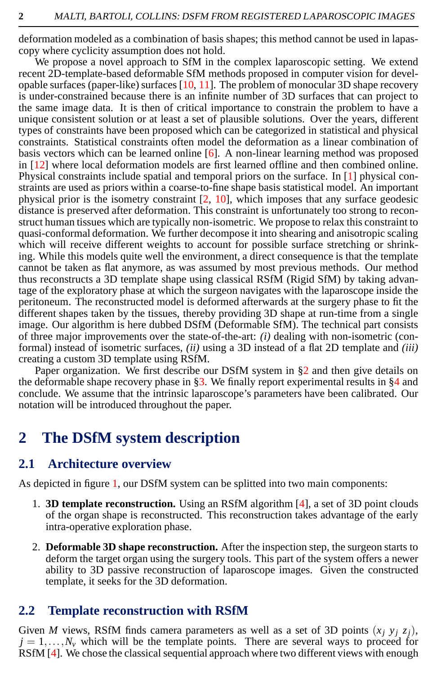deformation modeled as a combination of basis shapes; this method cannot be used in lapascopy where cyclicity assumption does not hold.

We propose a novel approach to SfM in the complex laparoscopic setting. We extend recent 2D-template-based deformable SfM methods proposed in computer vision for developable surfaces (paper-like) surfaces  $[10, 11]$  $[10, 11]$  $[10, 11]$ . The problem of monocular 3D shape recovery is under-constrained because there is an infinite number of 3D surfaces that can project to the same image data. It is then of critical importance to constrain the problem to have a unique consistent solution or at least a set of plausible solutions. Over the years, different types of constraints have been proposed which can be categorized in statistical and physical constraints. Statistical constraints often model the deformation as a linear combination of basis vectors which can be learned online  $[6]$ . A non-linear learning method was proposed in [\[12](#page-4-7)] where local deformation models are first learned offline and then combined online. Physical constraints include spatial and temporal priors on the surface. In [\[1](#page-3-0)] physical constraints are used as priors within a coarse-to-fine shape basis statistical model. An important physical prior is the isometry constraint  $[2, 10]$  $[2, 10]$  $[2, 10]$ , which imposes that any surface geodesic distance is preserved after deformation. This constraint is unfortunately too strong to reconstruct human tissues which are typically non-isometric. We propose to relax this constraint to quasi-conformal deformation. We further decompose it into shearing and anisotropic scaling which will receive different weights to account for possible surface stretching or shrinking. While this models quite well the environment, a direct consequence is that the template cannot be taken as flat anymore, as was assumed by most previous methods. Our method thus reconstructs a 3D template shape using classical RSfM (Rigid SfM) by taking advantage of the exploratory phase at which the surgeon navigates with the laparoscope inside the peritoneum. The reconstructed model is deformed afterwards at the surgery phase to fit the different shapes taken by the tissues, thereby providing 3D shape at run-time from a single image. Our algorithm is here dubbed DSfM (Deformable SfM). The technical part consists of three major improvements over the state-of-the-art: *(i)* dealing with non-isometric (conformal) instead of isometric surfaces, *(ii)* using a 3D instead of a flat 2D template and *(iii)* creating a custom 3D template using RSfM.

Paper organization. We first describe our DSfM system in [§2](#page-1-0) and then give details on the deformable shape recovery phase in [§3.](#page-2-0) We finally report experimental results in  $§4$  and conclude. We assume that the intrinsic laparoscope's parameters have been calibrated. Our notation will be introduced throughout the paper.

### <span id="page-1-0"></span>**2 The DSfM system description**

#### **2.1 Architecture overview**

As depicted in figure [1,](#page-2-1) our DSfM system can be splitted into two main components:

- 1. **3D template reconstruction.** Using an RSfM algorithm [\[4](#page-4-8)], a set of 3D point clouds of the organ shape is reconstructed. This reconstruction takes advantage of the early intra-operative exploration phase.
- 2. **Deformable 3D shape reconstruction.** After the inspection step, the surgeon starts to deform the target organ using the surgery tools. This part of the system offers a newer ability to 3D passive reconstruction of laparoscope images. Given the constructed template, it seeks for the 3D deformation.

#### **2.2 Template reconstruction with RSfM**

Given *M* views, RSfM finds camera parameters as well as a set of 3D points  $(x_i, y_i, z_i)$ ,  $j = 1, \ldots, N_v$  which will be the template points. There are several ways to proceed for RSfM [\[4\]](#page-4-8). We chose the classical sequential approach where two different views with enough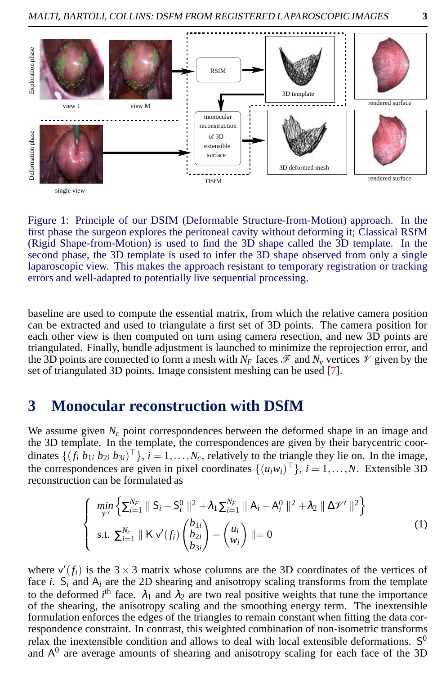

<span id="page-2-1"></span>Figure 1: Principle of our DSfM (Deformable Structure-from-Motion) approach. In the first phase the surgeon explores the peritoneal cavity without deforming it; Classical RSfM (Rigid Shape-from-Motion) is used to find the 3D shape called the 3D template. In the second phase, the 3D template is used to infer the 3D shape observed from only a single laparoscopic view. This makes the approach resistant to temporary registration or tracking errors and well-adapted to potentially live sequential processing.

baseline are used to compute the essential matrix, from which the relative camera position can be extracted and used to triangulate a first set of 3D points. The camera position for each other view is then computed on turn using camera resection, and new 3D points are triangulated. Finally, bundle adjustment is launched to minimize the reprojection error, and the 3D points are connected to form a mesh with  $N_F$  faces  $\mathscr F$  and  $N_\nu$  vertices  $\mathscr V$  given by the set of triangulated 3D points. Image consistent meshing can be used [\[7\]](#page-4-9).

#### <span id="page-2-0"></span>**3 Monocular reconstruction with DSfM**

We assume given  $N_c$  point correspondences between the deformed shape in an image and the 3D template. In the template, the correspondences are given by their barycentric coordinates  $\{(f_i \ b_{1i} \ b_{2i} \ b_{3i})^{\top}\}, i = 1, \ldots, N_c$ , relatively to the triangle they lie on. In the image, the correspondences are given in pixel coordinates  $\{(u_i w_i)^\top\}$ ,  $i = 1, \ldots, N$ . Extensible 3D reconstruction can be formulated as

$$
\begin{cases}\n\min_{\gamma'} \left\{ \sum_{i=1}^{N_F} \parallel S_i - S_i^0 \parallel^2 + \lambda_1 \sum_{i=1}^{N_F} \parallel A_i - A_i^0 \parallel^2 + \lambda_2 \parallel \Delta \mathcal{V}' \parallel^2 \right\} \\
\text{s.t. } \sum_{i=1}^{N_c} \parallel K \vee (f_i) \begin{pmatrix} b_{1i} \\ b_{2i} \\ b_{3i} \end{pmatrix} - \begin{pmatrix} u_i \\ w_i \end{pmatrix} \parallel = 0\n\end{cases}
$$
\n(1)

where  $v'(f_i)$  is the 3  $\times$  3 matrix whose columns are the 3D coordinates of the vertices of face *i*.  $S_i$  and  $A_i$  are the 2D shearing and anisotropy scaling transforms from the template to the deformed *i*<sup>th</sup> face.  $\lambda_1$  and  $\lambda_2$  are two real positive weights that tune the importance of the shearing, the anisotropy scaling and the smoothing energy term. The inextensible formulation enforces the edges of the triangles to remain constant when fitting the data correspondence constraint. In contrast, this weighted combination of non-isometric transforms relax the inextensible condition and allows to deal with local extensible deformations.  $S^0$ and  $A^0$  are average amounts of shearing and anisotropy scaling for each face of the 3D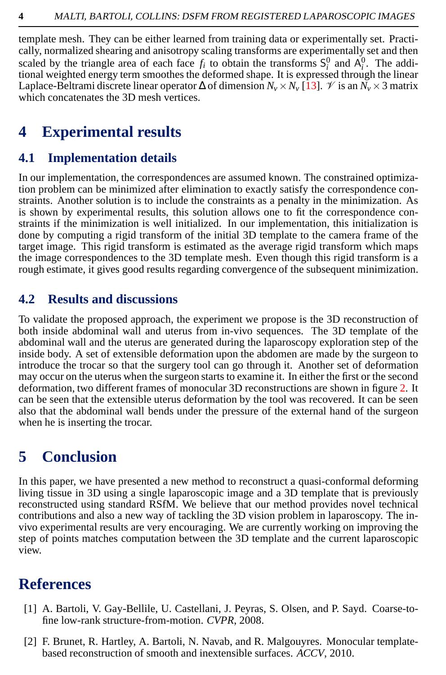template mesh. They can be either learned from training data or experimentally set. Practically, normalized shearing and anisotropy scaling transforms are experimentally set and then scaled by the triangle area of each face  $f_i$  to obtain the transforms  $S_i^0$  and  $A_i^0$ . The addiscaled by the triangle area of each face  $f_i$  to obtain the transforms  $J_i$  and  $A_i$ . The additional weighted energy term smoothes the deformed shape. It is expressed through the linear Laplace-Beltrami discrete linear operator  $\Delta$  of dimension  $N_v \times N_v$  [\[13\]](#page-4-10).  $\mathcal V$  is an  $\overline{N_v} \times 3$  matrix which concatenates the 3D mesh vertices.

## <span id="page-3-2"></span>**4 Experimental results**

### **4.1 Implementation details**

In our implementation, the correspondences are assumed known. The constrained optimization problem can be minimized after elimination to exactly satisfy the correspondence constraints. Another solution is to include the constraints as a penalty in the minimization. As is shown by experimental results, this solution allows one to fit the correspondence constraints if the minimization is well initialized. In our implementation, this initialization is done by computing a rigid transform of the initial 3D template to the camera frame of the target image. This rigid transform is estimated as the average rigid transform which maps the image correspondences to the 3D template mesh. Even though this rigid transform is a rough estimate, it gives good results regarding convergence of the subsequent minimization.

#### **4.2 Results and discussions**

To validate the proposed approach, the experiment we propose is the 3D reconstruction of both inside abdominal wall and uterus from in-vivo sequences. The 3D template of the abdominal wall and the uterus are generated during the laparoscopy exploration step of the inside body. A set of extensible deformation upon the abdomen are made by the surgeon to introduce the trocar so that the surgery tool can go through it. Another set of deformation may occur on the uterus when the surgeon starts to examine it. In either the first or the second deformation, two different frames of monocular 3D reconstructions are shown in figure [2.](#page-4-11) It can be seen that the extensible uterus deformation by the tool was recovered. It can be seen also that the abdominal wall bends under the pressure of the external hand of the surgeon when he is inserting the trocar.

## **5 Conclusion**

In this paper, we have presented a new method to reconstruct a quasi-conformal deforming living tissue in 3D using a single laparoscopic image and a 3D template that is previously reconstructed using standard RSfM. We believe that our method provides novel technical contributions and also a new way of tackling the 3D vision problem in laparoscopy. The invivo experimental results are very encouraging. We are currently working on improving the step of points matches computation between the 3D template and the current laparoscopic view.

### **References**

- <span id="page-3-0"></span>[1] A. Bartoli, V. Gay-Bellile, U. Castellani, J. Peyras, S. Olsen, and P. Sayd. Coarse-tofine low-rank structure-from-motion. *CVPR*, 2008.
- <span id="page-3-1"></span>[2] F. Brunet, R. Hartley, A. Bartoli, N. Navab, and R. Malgouyres. Monocular templatebased reconstruction of smooth and inextensible surfaces. *ACCV*, 2010.